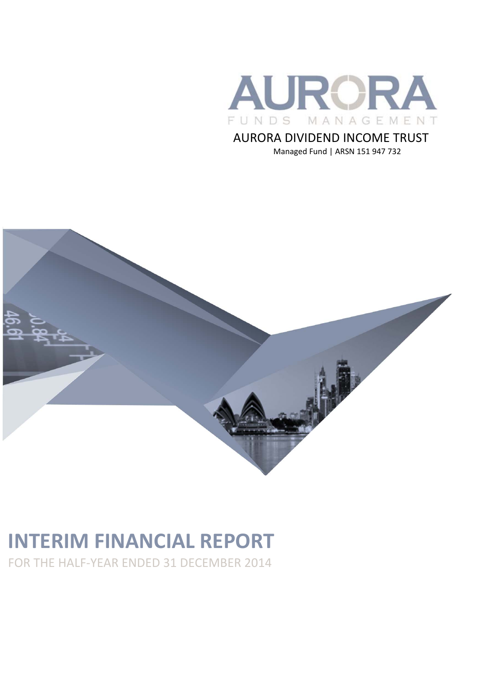

AURORA DIVIDEND INCOME TRUST Managed Fund | ARSN 151 947 732



# **INTERIM FINANCIAL REPORT**

FOR THE HALF‐YEAR ENDED 31 DECEMBER 2014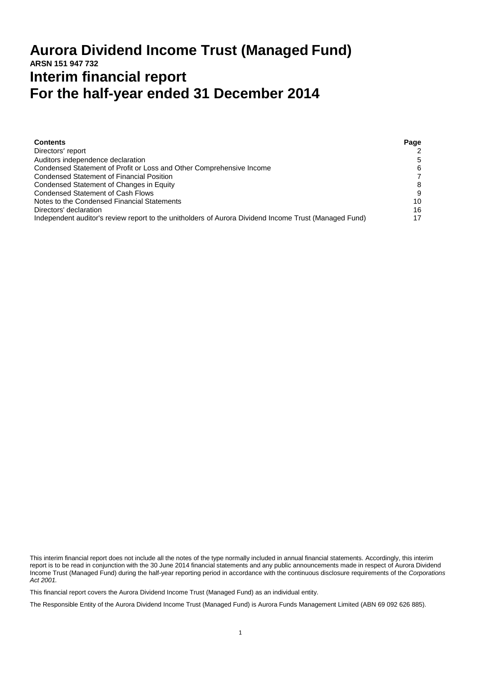## **Aurora Dividend Income Trust (Managed Fund) ARSN 151 947 732**

## **Interim financial report For the half-year ended 31 December 2014**

| <b>Contents</b>                                                                                       | Page |
|-------------------------------------------------------------------------------------------------------|------|
| Directors' report                                                                                     | 2    |
| Auditors independence declaration                                                                     | 5    |
| Condensed Statement of Profit or Loss and Other Comprehensive Income                                  | 6    |
| <b>Condensed Statement of Financial Position</b>                                                      | 7    |
| Condensed Statement of Changes in Equity                                                              | 8    |
| Condensed Statement of Cash Flows                                                                     | 9    |
| Notes to the Condensed Financial Statements                                                           | 10   |
| Directors' declaration                                                                                | 16   |
| Independent auditor's review report to the unitholders of Aurora Dividend Income Trust (Managed Fund) | 17   |

This interim financial report does not include all the notes of the type normally included in annual financial statements. Accordingly, this interim report is to be read in conjunction with the 30 June 2014 financial statements and any public announcements made in respect of Aurora Dividend Income Trust (Managed Fund) during the half-year reporting period in accordance with the continuous disclosure requirements of the *Corporations Act 2001.*

This financial report covers the Aurora Dividend Income Trust (Managed Fund) as an individual entity.

The Responsible Entity of the Aurora Dividend Income Trust (Managed Fund) is Aurora Funds Management Limited (ABN 69 092 626 885).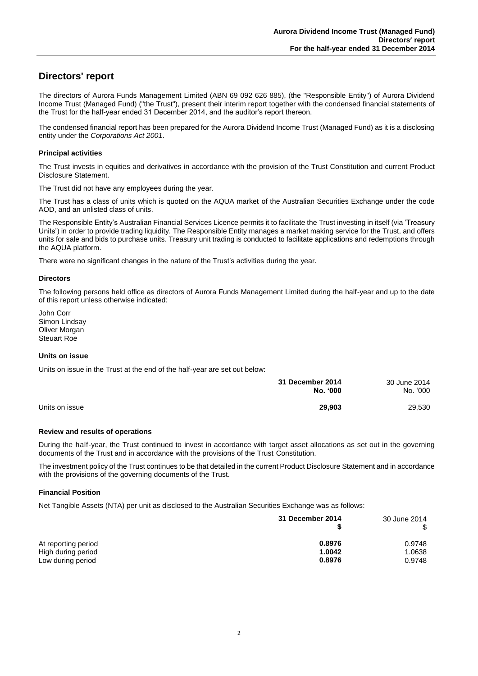## **Directors' report**

The directors of Aurora Funds Management Limited (ABN 69 092 626 885), (the "Responsible Entity") of Aurora Dividend Income Trust (Managed Fund) ("the Trust"), present their interim report together with the condensed financial statements of the Trust for the half-year ended 31 December 2014, and the auditor's report thereon.

The condensed financial report has been prepared for the Aurora Dividend Income Trust (Managed Fund) as it is a disclosing entity under the *Corporations Act 2001*.

#### **Principal activities**

The Trust invests in equities and derivatives in accordance with the provision of the Trust Constitution and current Product Disclosure Statement.

The Trust did not have any employees during the year.

The Trust has a class of units which is quoted on the AQUA market of the Australian Securities Exchange under the code AOD, and an unlisted class of units.

The Responsible Entity's Australian Financial Services Licence permits it to facilitate the Trust investing in itself (via 'Treasury Units') in order to provide trading liquidity. The Responsible Entity manages a market making service for the Trust, and offers units for sale and bids to purchase units. Treasury unit trading is conducted to facilitate applications and redemptions through the AQUA platform.

There were no significant changes in the nature of the Trust's activities during the year.

#### **Directors**

The following persons held office as directors of Aurora Funds Management Limited during the half-year and up to the date of this report unless otherwise indicated:

John Corr Simon Lindsay Oliver Morgan Steuart Roe

#### **Units on issue**

Units on issue in the Trust at the end of the half-year are set out below:

|                | 31 December 2014 | 30 June 2014 |
|----------------|------------------|--------------|
|                | No. '000         | No. '000     |
| Units on issue | 29.903           | 29,530       |

#### **Review and results of operations**

During the half-year, the Trust continued to invest in accordance with target asset allocations as set out in the governing documents of the Trust and in accordance with the provisions of the Trust Constitution.

The investment policy of the Trust continues to be that detailed in the current Product Disclosure Statement and in accordance with the provisions of the governing documents of the Trust.

#### **Financial Position**

Net Tangible Assets (NTA) per unit as disclosed to the Australian Securities Exchange was as follows:

|                     | 31 December 2014 | 30 June 2014<br>S. |
|---------------------|------------------|--------------------|
| At reporting period | 0.8976           | 0.9748             |
| High during period  | 1.0042           | 1.0638             |
| Low during period   | 0.8976           | 0.9748             |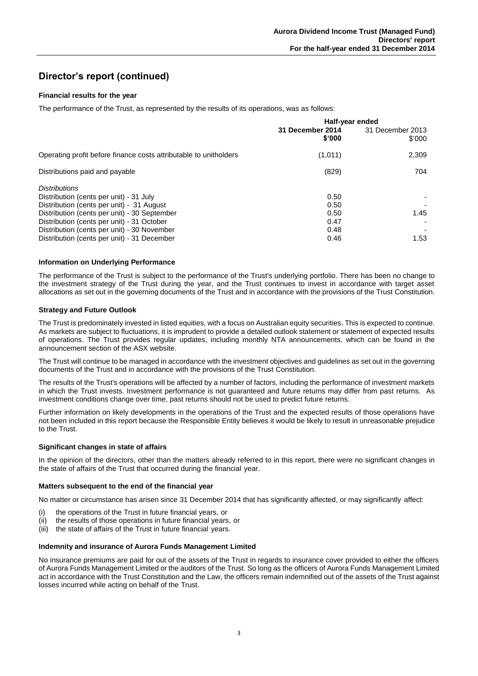## **Director's report (continued)**

#### **Financial results for the year**

The performance of the Trust, as represented by the results of its operations, was as follows:

|                                                                                                                                                                                          | Half-year ended              |                            |  |
|------------------------------------------------------------------------------------------------------------------------------------------------------------------------------------------|------------------------------|----------------------------|--|
|                                                                                                                                                                                          | 31 December 2014<br>\$000    | 31 December 2013<br>\$'000 |  |
| Operating profit before finance costs attributable to unitholders                                                                                                                        | (1,011)                      | 2,309                      |  |
| Distributions paid and payable                                                                                                                                                           | (829)                        | 704                        |  |
| <b>Distributions</b><br>Distribution (cents per unit) - 31 July<br>Distribution (cents per unit) - 31 August                                                                             | 0.50<br>0.50                 |                            |  |
| Distribution (cents per unit) - 30 September<br>Distribution (cents per unit) - 31 October<br>Distribution (cents per unit) - 30 November<br>Distribution (cents per unit) - 31 December | 0.50<br>0.47<br>0.48<br>0.46 | 1.45<br>1.53               |  |
|                                                                                                                                                                                          |                              |                            |  |

#### **Information on Underlying Performance**

The performance of the Trust is subject to the performance of the Trust's underlying portfolio. There has been no change to the investment strategy of the Trust during the year, and the Trust continues to invest in accordance with target asset allocations as set out in the governing documents of the Trust and in accordance with the provisions of the Trust Constitution.

#### **Strategy and Future Outlook**

The Trust is predominately invested in listed equities, with a focus on Australian equity securities. This is expected to continue. As markets are subject to fluctuations, it is imprudent to provide a detailed outlook statement or statement of expected results of operations. The Trust provides regular updates, including monthly NTA announcements, which can be found in the announcement section of the ASX website.

The Trust will continue to be managed in accordance with the investment objectives and guidelines as set out in the governing documents of the Trust and in accordance with the provisions of the Trust Constitution.

The results of the Trust's operations will be affected by a number of factors, including the performance of investment markets in which the Trust invests. Investment performance is not guaranteed and future returns may differ from past returns. As investment conditions change over time, past returns should not be used to predict future returns.

Further information on likely developments in the operations of the Trust and the expected results of those operations have not been included in this report because the Responsible Entity believes it would be likely to result in unreasonable prejudice to the Trust.

#### **Significant changes in state of affairs**

In the opinion of the directors, other than the matters already referred to in this report, there were no significant changes in the state of affairs of the Trust that occurred during the financial year.

#### **Matters subsequent to the end of the financial year**

No matter or circumstance has arisen since 31 December 2014 that has significantly affected, or may significantly affect:

- (i) the operations of the Trust in future financial years, or
- (ii) the results of those operations in future financial years, or
- (iii) the state of affairs of the Trust in future financial years.

#### **Indemnity and insurance of Aurora Funds Management Limited**

No insurance premiums are paid for out of the assets of the Trust in regards to insurance cover provided to either the officers of Aurora Funds Management Limited or the auditors of the Trust. So long as the officers of Aurora Funds Management Limited act in accordance with the Trust Constitution and the Law, the officers remain indemnified out of the assets of the Trust against losses incurred while acting on behalf of the Trust.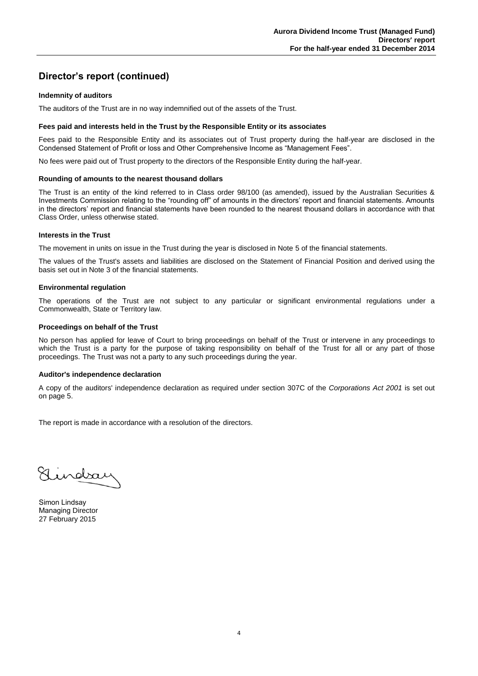## **Director's report (continued)**

#### **Indemnity of auditors**

The auditors of the Trust are in no way indemnified out of the assets of the Trust.

#### **Fees paid and interests held in the Trust by the Responsible Entity or its associates**

Fees paid to the Responsible Entity and its associates out of Trust property during the half-year are disclosed in the Condensed Statement of Profit or loss and Other Comprehensive Income as "Management Fees".

No fees were paid out of Trust property to the directors of the Responsible Entity during the half-year.

#### **Rounding of amounts to the nearest thousand dollars**

The Trust is an entity of the kind referred to in Class order 98/100 (as amended), issued by the Australian Securities & Investments Commission relating to the "rounding off" of amounts in the directors' report and financial statements. Amounts in the directors' report and financial statements have been rounded to the nearest thousand dollars in accordance with that Class Order, unless otherwise stated.

#### **Interests in the Trust**

The movement in units on issue in the Trust during the year is disclosed in Note 5 of the financial statements.

The values of the Trust's assets and liabilities are disclosed on the Statement of Financial Position and derived using the basis set out in Note 3 of the financial statements.

#### **Environmental regulation**

The operations of the Trust are not subject to any particular or significant environmental regulations under a Commonwealth, State or Territory law.

#### **Proceedings on behalf of the Trust**

No person has applied for leave of Court to bring proceedings on behalf of the Trust or intervene in any proceedings to which the Trust is a party for the purpose of taking responsibility on behalf of the Trust for all or any part of those proceedings. The Trust was not a party to any such proceedings during the year.

#### **Auditor's independence declaration**

A copy of the auditors' independence declaration as required under section 307C of the *Corporations Act 2001* is set out on page 5.

The report is made in accordance with a resolution of the directors.

Lindsa

Simon Lindsay Managing Director 27 February 2015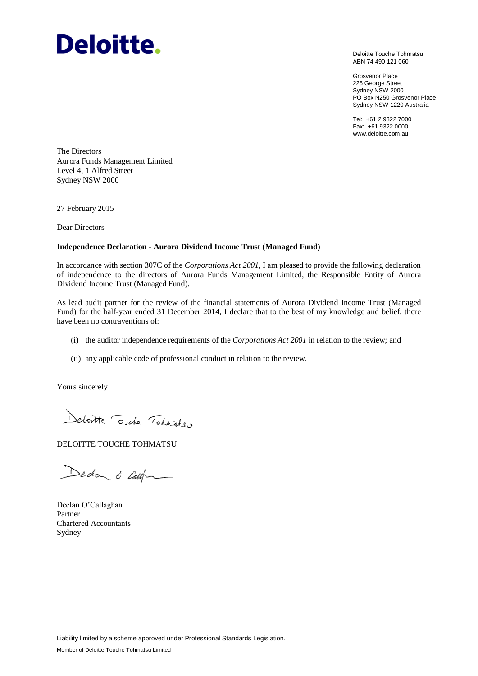# **Deloitte.**

Deloitte Touche Tohmatsu ABN 74 490 121 060

Grosvenor Place 225 George Street Sydney NSW 2000 PO Box N250 Grosvenor Place Sydney NSW 1220 Australia

Tel: +61 2 9322 7000 Fax: +61 9322 0000 www.deloitte.com.au

The Directors Aurora Funds Management Limited Level 4, 1 Alfred Street Sydney NSW 2000

27 February 2015

Dear Directors

#### **Independence Declaration - Aurora Dividend Income Trust (Managed Fund)**

In accordance with section 307C of the *Corporations Act 2001*, I am pleased to provide the following declaration of independence to the directors of Aurora Funds Management Limited, the Responsible Entity of Aurora Dividend Income Trust (Managed Fund).

As lead audit partner for the review of the financial statements of Aurora Dividend Income Trust (Managed Fund) for the half-year ended 31 December 2014, I declare that to the best of my knowledge and belief, there have been no contraventions of:

- (i) the auditor independence requirements of the *Corporations Act 2001* in relation to the review; and
- (ii) any applicable code of professional conduct in relation to the review.

Yours sincerely

Delaite Touche Tohnistin

DELOITTE TOUCHE TOHMATSU

Deden & Californ

Declan O'Callaghan Partner Chartered Accountants Sydney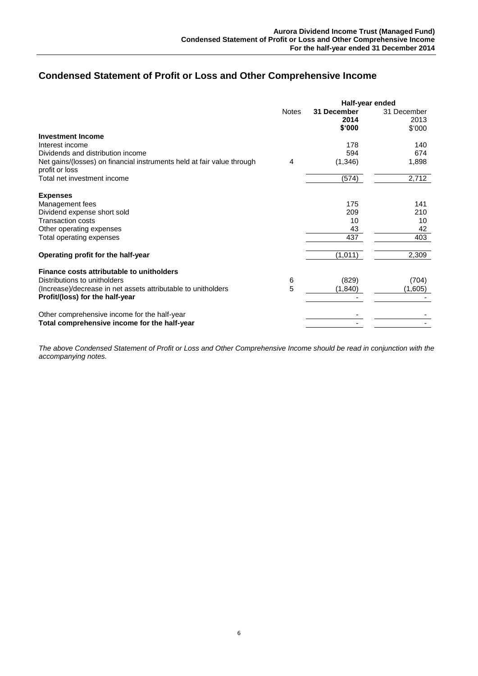## **Condensed Statement of Profit or Loss and Other Comprehensive Income**

|                                                                                          | Half-year ended |                               |                               |
|------------------------------------------------------------------------------------------|-----------------|-------------------------------|-------------------------------|
|                                                                                          | <b>Notes</b>    | 31 December<br>2014<br>\$'000 | 31 December<br>2013<br>\$'000 |
| <b>Investment Income</b>                                                                 |                 |                               |                               |
| Interest income                                                                          |                 | 178                           | 140                           |
| Dividends and distribution income                                                        |                 | 594                           | 674                           |
| Net gains/(losses) on financial instruments held at fair value through<br>profit or loss | 4               | (1,346)                       | 1,898                         |
| Total net investment income                                                              |                 | (574)                         | 2,712                         |
| <b>Expenses</b>                                                                          |                 |                               |                               |
| Management fees                                                                          |                 | 175                           | 141                           |
| Dividend expense short sold                                                              |                 | 209                           | 210                           |
| Transaction costs                                                                        |                 | 10                            | 10                            |
| Other operating expenses                                                                 |                 | 43                            | 42                            |
| Total operating expenses                                                                 |                 | 437                           | 403                           |
| Operating profit for the half-year                                                       |                 | (1,011)                       | 2,309                         |
| Finance costs attributable to unitholders                                                |                 |                               |                               |
| Distributions to unitholders                                                             | 6               | (829)                         | (704)                         |
| (Increase)/decrease in net assets attributable to unitholders                            | 5               | (1,840)                       | (1,605)                       |
| Profit/(loss) for the half-year                                                          |                 |                               |                               |
| Other comprehensive income for the half-year                                             |                 |                               |                               |
| Total comprehensive income for the half-year                                             |                 |                               |                               |

*The above Condensed Statement of Profit or Loss and Other Comprehensive Income should be read in conjunction with the accompanying notes.*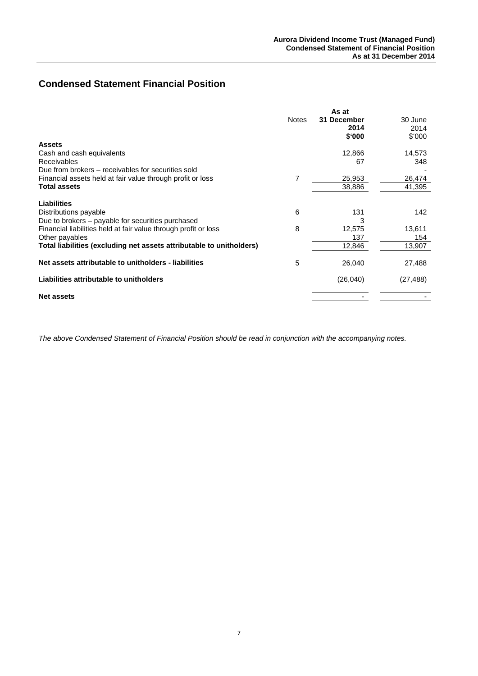## **Condensed Statement Financial Position**

|                                                                      | As at        |                               |                          |
|----------------------------------------------------------------------|--------------|-------------------------------|--------------------------|
|                                                                      | <b>Notes</b> | 31 December<br>2014<br>\$'000 | 30 June<br>2014<br>\$000 |
| <b>Assets</b>                                                        |              |                               |                          |
| Cash and cash equivalents                                            |              | 12,866                        | 14,573                   |
| Receivables                                                          |              | 67                            | 348                      |
| Due from brokers – receivables for securities sold                   |              |                               |                          |
| Financial assets held at fair value through profit or loss           | 7            | 25,953                        | 26,474                   |
| <b>Total assets</b>                                                  |              | 38,886                        | 41,395                   |
| <b>Liabilities</b>                                                   |              |                               |                          |
| Distributions payable                                                | 6            | 131                           | 142                      |
| Due to brokers – payable for securities purchased                    |              | 3                             |                          |
| Financial liabilities held at fair value through profit or loss      | 8            | 12,575                        | 13,611                   |
| Other payables                                                       |              | 137                           | 154                      |
| Total liabilities (excluding net assets attributable to unitholders) |              | 12,846                        | 13,907                   |
| Net assets attributable to unitholders - liabilities                 | 5            | 26,040                        | 27,488                   |
| Liabilities attributable to unitholders                              |              | (26, 040)                     | (27, 488)                |
| <b>Net assets</b>                                                    |              |                               |                          |

*The above Condensed Statement of Financial Position should be read in conjunction with the accompanying notes.*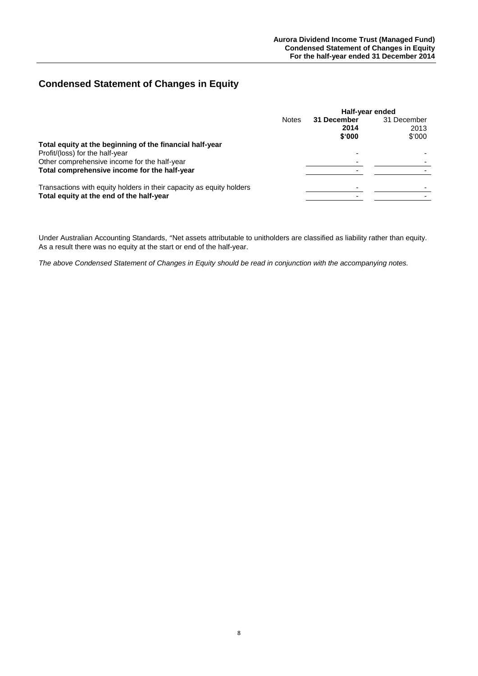## **Condensed Statement of Changes in Equity**

|                                                                      | Half-year ended |                |             |
|----------------------------------------------------------------------|-----------------|----------------|-------------|
|                                                                      | <b>Notes</b>    | 31 December    | 31 December |
|                                                                      |                 | 2014           | 2013        |
|                                                                      |                 | \$'000         | \$000       |
| Total equity at the beginning of the financial half-year             |                 |                |             |
| Profit/(loss) for the half-year                                      |                 |                |             |
| Other comprehensive income for the half-year                         |                 |                |             |
| Total comprehensive income for the half-year                         |                 |                |             |
| Transactions with equity holders in their capacity as equity holders |                 | $\overline{a}$ |             |
| Total equity at the end of the half-year                             |                 |                |             |

Under Australian Accounting Standards, "Net assets attributable to unitholders are classified as liability rather than equity. As a result there was no equity at the start or end of the half-year.

*The above Condensed Statement of Changes in Equity should be read in conjunction with the accompanying notes.*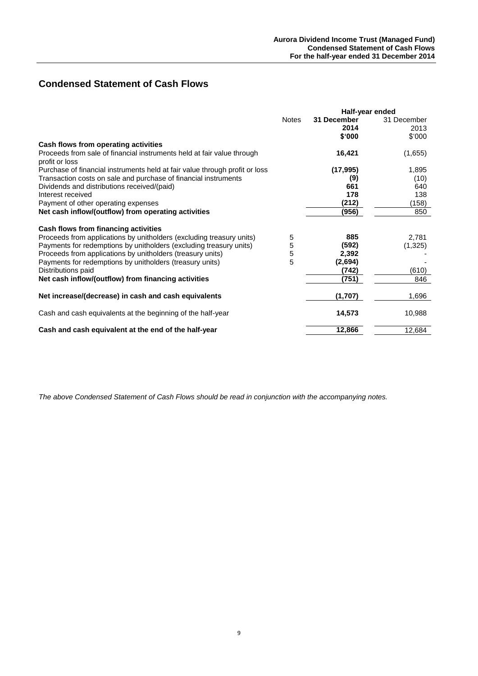## **Condensed Statement of Cash Flows**

|                                                                                          | Half-year ended |             |             |
|------------------------------------------------------------------------------------------|-----------------|-------------|-------------|
|                                                                                          | <b>Notes</b>    | 31 December | 31 December |
|                                                                                          |                 | 2014        | 2013        |
|                                                                                          |                 | \$'000      | \$'000      |
| Cash flows from operating activities                                                     |                 |             |             |
| Proceeds from sale of financial instruments held at fair value through<br>profit or loss |                 | 16,421      | (1,655)     |
| Purchase of financial instruments held at fair value through profit or loss              |                 | (17, 995)   | 1,895       |
| Transaction costs on sale and purchase of financial instruments                          |                 | (9)         | (10)        |
| Dividends and distributions received/(paid)                                              |                 | 661         | 640         |
| Interest received                                                                        |                 | 178         | 138         |
| Payment of other operating expenses                                                      |                 | (212)       | (158)       |
| Net cash inflow/(outflow) from operating activities                                      |                 | (956)       | 850         |
| Cash flows from financing activities                                                     |                 |             |             |
| Proceeds from applications by unitholders (excluding treasury units)                     | 5               | 885         | 2,781       |
| Payments for redemptions by unitholders (excluding treasury units)                       | 5               | (592)       | (1, 325)    |
| Proceeds from applications by unitholders (treasury units)                               | 5               | 2,392       |             |
| Payments for redemptions by unitholders (treasury units)                                 | 5               | (2,694)     |             |
| Distributions paid                                                                       |                 | (742)       | (610)       |
| Net cash inflow/(outflow) from financing activities                                      |                 | (751)       | 846         |
| Net increase/(decrease) in cash and cash equivalents                                     |                 | (1,707)     | 1,696       |
| Cash and cash equivalents at the beginning of the half-year                              |                 | 14,573      | 10,988      |
| Cash and cash equivalent at the end of the half-year                                     |                 | 12,866      | 12,684      |

*The above Condensed Statement of Cash Flows should be read in conjunction with the accompanying notes.*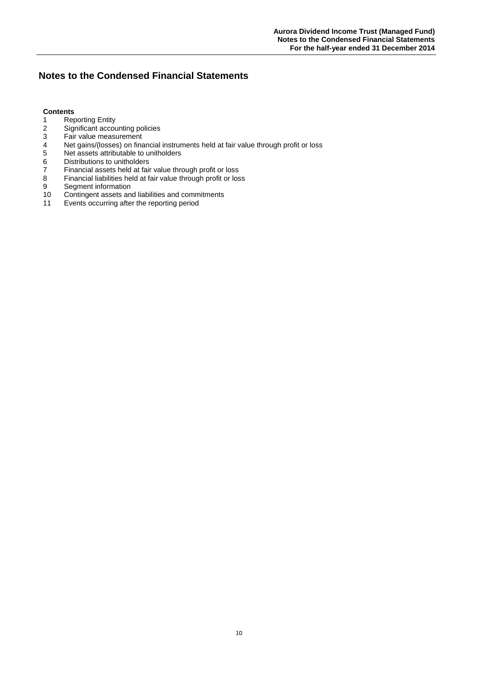## **Notes to the Condensed Financial Statements**

#### **Contents**

- 1 Reporting Entity<br>2 Significant accou
- 2 Significant accounting policies<br>3 Fair value measurement
- 3 Fair value measurement<br>4 Net gains/(losses) on final
- 4 Net gains/(losses) on financial instruments held at fair value through profit or loss<br>5 Net assets attributable to unitholders
- 5 Net assets attributable to unitholders<br>6 Distributions to unitholders
- Distributions to unitholders
- 7 Financial assets held at fair value through profit or loss
- 8 Financial liabilities held at fair value through profit or loss
- 9 Segment information<br>10 Contingent assets an
- 10 Contingent assets and liabilities and commitments<br>11 Events occurring after the reporting period
- Events occurring after the reporting period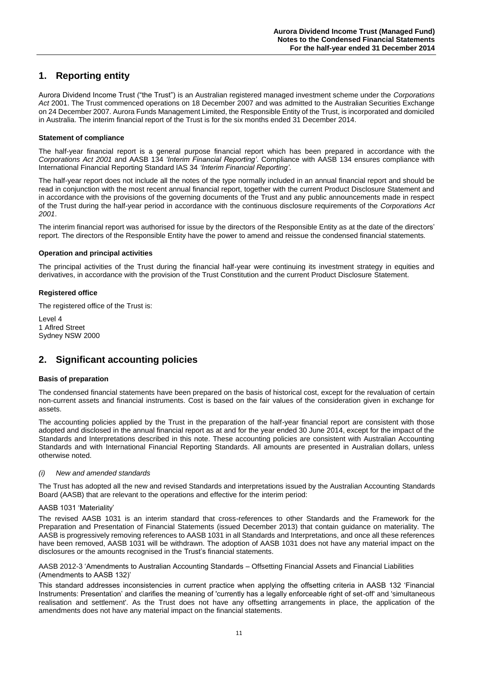## **1. Reporting entity**

Aurora Dividend Income Trust ("the Trust") is an Australian registered managed investment scheme under the *Corporations Act* 2001. The Trust commenced operations on 18 December 2007 and was admitted to the Australian Securities Exchange on 24 December 2007. Aurora Funds Management Limited, the Responsible Entity of the Trust, is incorporated and domiciled in Australia. The interim financial report of the Trust is for the six months ended 31 December 2014.

#### **Statement of compliance**

The half-year financial report is a general purpose financial report which has been prepared in accordance with the *Corporations Act 2001* and AASB 134 *'Interim Financial Reporting'*. Compliance with AASB 134 ensures compliance with International Financial Reporting Standard IAS 34 *'Interim Financial Reporting'*.

The half-year report does not include all the notes of the type normally included in an annual financial report and should be read in conjunction with the most recent annual financial report, together with the current Product Disclosure Statement and in accordance with the provisions of the governing documents of the Trust and any public announcements made in respect of the Trust during the half-year period in accordance with the continuous disclosure requirements of the *Corporations Act 2001*.

The interim financial report was authorised for issue by the directors of the Responsible Entity as at the date of the directors' report. The directors of the Responsible Entity have the power to amend and reissue the condensed financial statements.

#### **Operation and principal activities**

The principal activities of the Trust during the financial half-year were continuing its investment strategy in equities and derivatives, in accordance with the provision of the Trust Constitution and the current Product Disclosure Statement.

#### **Registered office**

The registered office of the Trust is:

 $L$ evel  $\Lambda$ 1 Aflred Street Sydney NSW 2000

## **2. Significant accounting policies**

#### **Basis of preparation**

The condensed financial statements have been prepared on the basis of historical cost, except for the revaluation of certain non-current assets and financial instruments. Cost is based on the fair values of the consideration given in exchange for assets.

The accounting policies applied by the Trust in the preparation of the half-year financial report are consistent with those adopted and disclosed in the annual financial report as at and for the year ended 30 June 2014, except for the impact of the Standards and Interpretations described in this note. These accounting policies are consistent with Australian Accounting Standards and with International Financial Reporting Standards. All amounts are presented in Australian dollars, unless otherwise noted.

#### *(i) New and amended standards*

The Trust has adopted all the new and revised Standards and interpretations issued by the Australian Accounting Standards Board (AASB) that are relevant to the operations and effective for the interim period:

#### AASB 1031 'Materiality'

The revised AASB 1031 is an interim standard that cross-references to other Standards and the Framework for the Preparation and Presentation of Financial Statements (issued December 2013) that contain guidance on materiality. The AASB is progressively removing references to AASB 1031 in all Standards and Interpretations, and once all these references have been removed, AASB 1031 will be withdrawn. The adoption of AASB 1031 does not have any material impact on the disclosures or the amounts recognised in the Trust's financial statements.

AASB 2012-3 'Amendments to Australian Accounting Standards – Offsetting Financial Assets and Financial Liabilities (Amendments to AASB 132)'

This standard addresses inconsistencies in current practice when applying the offsetting criteria in AASB 132 'Financial Instruments: Presentation' and clarifies the meaning of 'currently has a legally enforceable right of set-off' and 'simultaneous realisation and settlement'. As the Trust does not have any offsetting arrangements in place, the application of the amendments does not have any material impact on the financial statements.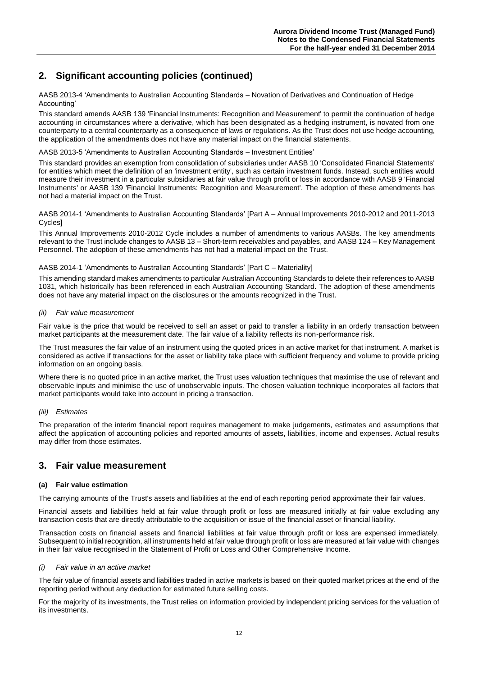## **2. Significant accounting policies (continued)**

AASB 2013-4 'Amendments to Australian Accounting Standards – Novation of Derivatives and Continuation of Hedge Accounting'

This standard amends AASB 139 'Financial Instruments: Recognition and Measurement' to permit the continuation of hedge accounting in circumstances where a derivative, which has been designated as a hedging instrument, is novated from one counterparty to a central counterparty as a consequence of laws or regulations. As the Trust does not use hedge accounting, the application of the amendments does not have any material impact on the financial statements.

#### AASB 2013-5 'Amendments to Australian Accounting Standards – Investment Entities'

This standard provides an exemption from consolidation of subsidiaries under AASB 10 'Consolidated Financial Statements' for entities which meet the definition of an 'investment entity', such as certain investment funds. Instead, such entities would measure their investment in a particular subsidiaries at fair value through profit or loss in accordance with AASB 9 'Financial Instruments' or AASB 139 'Financial Instruments: Recognition and Measurement'. The adoption of these amendments has not had a material impact on the Trust.

AASB 2014-1 'Amendments to Australian Accounting Standards' [Part A – Annual Improvements 2010-2012 and 2011-2013 Cycles]

This Annual Improvements 2010-2012 Cycle includes a number of amendments to various AASBs. The key amendments relevant to the Trust include changes to AASB 13 – Short-term receivables and payables, and AASB 124 – Key Management Personnel. The adoption of these amendments has not had a material impact on the Trust.

#### AASB 2014-1 'Amendments to Australian Accounting Standards' [Part C – Materiality]

This amending standard makes amendments to particular Australian Accounting Standards to delete their references to AASB 1031, which historically has been referenced in each Australian Accounting Standard. The adoption of these amendments does not have any material impact on the disclosures or the amounts recognized in the Trust.

#### *(ii) Fair value measurement*

Fair value is the price that would be received to sell an asset or paid to transfer a liability in an orderly transaction between market participants at the measurement date. The fair value of a liability reflects its non-performance risk.

The Trust measures the fair value of an instrument using the quoted prices in an active market for that instrument. A market is considered as active if transactions for the asset or liability take place with sufficient frequency and volume to provide pricing information on an ongoing basis.

Where there is no quoted price in an active market, the Trust uses valuation techniques that maximise the use of relevant and observable inputs and minimise the use of unobservable inputs. The chosen valuation technique incorporates all factors that market participants would take into account in pricing a transaction.

#### *(iii) Estimates*

The preparation of the interim financial report requires management to make judgements, estimates and assumptions that affect the application of accounting policies and reported amounts of assets, liabilities, income and expenses. Actual results may differ from those estimates.

## **3. Fair value measurement**

#### **(a) Fair value estimation**

The carrying amounts of the Trust's assets and liabilities at the end of each reporting period approximate their fair values.

Financial assets and liabilities held at fair value through profit or loss are measured initially at fair value excluding any transaction costs that are directly attributable to the acquisition or issue of the financial asset or financial liability.

Transaction costs on financial assets and financial liabilities at fair value through profit or loss are expensed immediately. Subsequent to initial recognition, all instruments held at fair value through profit or loss are measured at fair value with changes in their fair value recognised in the Statement of Profit or Loss and Other Comprehensive Income.

#### *(i) Fair value in an active market*

The fair value of financial assets and liabilities traded in active markets is based on their quoted market prices at the end of the reporting period without any deduction for estimated future selling costs.

For the majority of its investments, the Trust relies on information provided by independent pricing services for the valuation of its investments.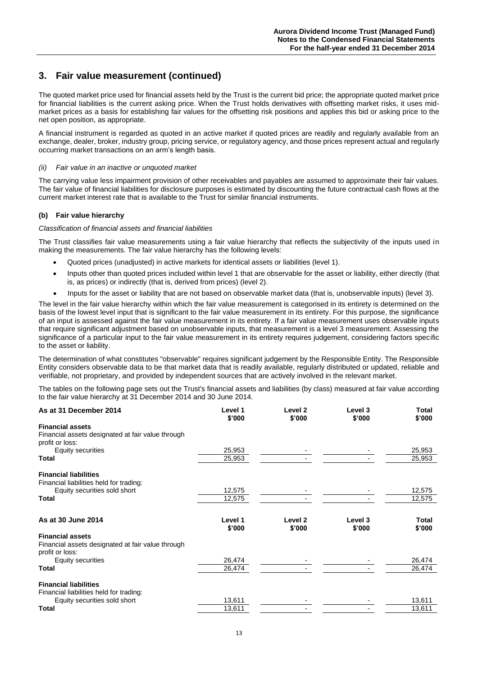## **3. Fair value measurement (continued)**

The quoted market price used for financial assets held by the Trust is the current bid price; the appropriate quoted market price for financial liabilities is the current asking price. When the Trust holds derivatives with offsetting market risks, it uses midmarket prices as a basis for establishing fair values for the offsetting risk positions and applies this bid or asking price to the net open position, as appropriate.

A financial instrument is regarded as quoted in an active market if quoted prices are readily and regularly available from an exchange, dealer, broker, industry group, pricing service, or regulatory agency, and those prices represent actual and regularly occurring market transactions on an arm's length basis.

#### *(ii) Fair value in an inactive or unquoted market*

The carrying value less impairment provision of other receivables and payables are assumed to approximate their fair values. The fair value of financial liabilities for disclosure purposes is estimated by discounting the future contractual cash flows at the current market interest rate that is available to the Trust for similar financial instruments.

#### **(b) Fair value hierarchy**

#### *Classification of financial assets and financial liabilities*

The Trust classifies fair value measurements using a fair value hierarchy that reflects the subjectivity of the inputs used in making the measurements. The fair value hierarchy has the following levels:

- Quoted prices (unadjusted) in active markets for identical assets or liabilities (level 1).
- Inputs other than quoted prices included within level 1 that are observable for the asset or liability, either directly (that is, as prices) or indirectly (that is, derived from prices) (level 2).
- Inputs for the asset or liability that are not based on observable market data (that is, unobservable inputs) (level 3).

The level in the fair value hierarchy within which the fair value measurement is categorised in its entirety is determined on the basis of the lowest level input that is significant to the fair value measurement in its entirety. For this purpose, the significance of an input is assessed against the fair value measurement in its entirety. If a fair value measurement uses observable inputs that require significant adjustment based on unobservable inputs, that measurement is a level 3 measurement. Assessing the significance of a particular input to the fair value measurement in its entirety requires judgement, considering factors specific to the asset or liability.

The determination of what constitutes "observable" requires significant judgement by the Responsible Entity. The Responsible Entity considers observable data to be that market data that is readily available, regularly distributed or updated, reliable and verifiable, not proprietary, and provided by independent sources that are actively involved in the relevant market.

The tables on the following page sets out the Trust's financial assets and liabilities (by class) measured at fair value according to the fair value hierarchy at 31 December 2014 and 30 June 2014.

| As at 31 December 2014                                               | Level 1<br>\$'000 | Level <sub>2</sub><br>\$'000 | Level 3<br>\$'000 | <b>Total</b><br>\$'000 |
|----------------------------------------------------------------------|-------------------|------------------------------|-------------------|------------------------|
| <b>Financial assets</b>                                              |                   |                              |                   |                        |
| Financial assets designated at fair value through                    |                   |                              |                   |                        |
| profit or loss:                                                      |                   |                              |                   |                        |
| <b>Equity securities</b>                                             | 25,953            |                              |                   | 25,953                 |
| Total                                                                | 25,953            |                              |                   | 25,953                 |
| <b>Financial liabilities</b>                                         |                   |                              |                   |                        |
| Financial liabilities held for trading:                              |                   |                              |                   |                        |
| Equity securities sold short                                         | 12,575            |                              |                   | 12,575                 |
| <b>Total</b>                                                         | 12,575            |                              |                   | 12,575                 |
| As at 30 June 2014                                                   | Level 1<br>\$'000 | Level <sub>2</sub><br>\$'000 | Level 3<br>\$'000 | Total<br>\$'000        |
| <b>Financial assets</b>                                              |                   |                              |                   |                        |
| Financial assets designated at fair value through<br>profit or loss: |                   |                              |                   |                        |
| Equity securities                                                    | 26,474            |                              |                   | 26,474                 |
| Total                                                                | 26,474            |                              |                   | 26,474                 |
| <b>Financial liabilities</b>                                         |                   |                              |                   |                        |
| Financial liabilities held for trading:                              |                   |                              |                   |                        |
| Equity securities sold short                                         | 13,611            |                              |                   | 13,611                 |
| <b>Total</b>                                                         | 13,611            |                              |                   | 13,611                 |
|                                                                      |                   |                              |                   |                        |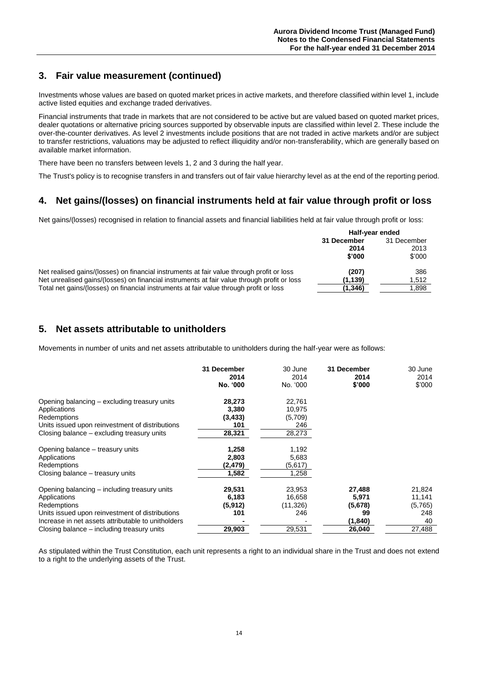**Half-year ended**

## **3. Fair value measurement (continued)**

Investments whose values are based on quoted market prices in active markets, and therefore classified within level 1, include active listed equities and exchange traded derivatives.

Financial instruments that trade in markets that are not considered to be active but are valued based on quoted market prices, dealer quotations or alternative pricing sources supported by observable inputs are classified within level 2. These include the over-the-counter derivatives. As level 2 investments include positions that are not traded in active markets and/or are subject to transfer restrictions, valuations may be adjusted to reflect illiquidity and/or non-transferability, which are generally based on available market information.

There have been no transfers between levels 1, 2 and 3 during the half year.

The Trust's policy is to recognise transfers in and transfers out of fair value hierarchy level as at the end of the reporting period.

## **4. Net gains/(losses) on financial instruments held at fair value through profit or loss**

Net gains/(losses) recognised in relation to financial assets and financial liabilities held at fair value through profit or loss:

|                                                                                             | Hall-year engeg |             |
|---------------------------------------------------------------------------------------------|-----------------|-------------|
|                                                                                             | 31 December     | 31 December |
|                                                                                             | 2014            | 2013        |
|                                                                                             | \$'000          | \$'000      |
| Net realised gains/(losses) on financial instruments at fair value through profit or loss   | (207)           | 386         |
| Net unrealised gains/(losses) on financial instruments at fair value through profit or loss | (1, 139)        | 1.512       |
| Total net gains/(losses) on financial instruments at fair value through profit or loss      | (1,346)         | 1.898       |
|                                                                                             |                 |             |

## **5. Net assets attributable to unitholders**

Movements in number of units and net assets attributable to unitholders during the half-year were as follows:

|                                                    | 31 December<br>2014<br>No. '000 | 30 June<br>2014<br>No. '000 | 31 December<br>2014<br>\$'000 | 30 June<br>2014<br>\$'000 |
|----------------------------------------------------|---------------------------------|-----------------------------|-------------------------------|---------------------------|
| Opening balancing – excluding treasury units       | 28,273                          | 22,761                      |                               |                           |
| Applications                                       | 3,380                           | 10,975                      |                               |                           |
| Redemptions                                        | (3, 433)                        | (5,709)                     |                               |                           |
| Units issued upon reinvestment of distributions    | 101                             | 246                         |                               |                           |
| Closing balance – excluding treasury units         | 28,321                          | 28,273                      |                               |                           |
| Opening balance – treasury units                   | 1,258                           | 1,192                       |                               |                           |
| Applications                                       | 2,803                           | 5,683                       |                               |                           |
| Redemptions                                        | (2, 479)                        | (5,617)                     |                               |                           |
| Closing balance – treasury units                   | 1,582                           | 1,258                       |                               |                           |
| Opening balancing – including treasury units       | 29,531                          | 23,953                      | 27,488                        | 21,824                    |
| Applications                                       | 6,183                           | 16,658                      | 5,971                         | 11,141                    |
| Redemptions                                        | (5, 912)                        | (11, 326)                   | (5,678)                       | (5,765)                   |
| Units issued upon reinvestment of distributions    | 101                             | 246                         | 99                            | 248                       |
| Increase in net assets attributable to unitholders |                                 |                             | (1, 840)                      | 40                        |
| Closing balance – including treasury units         | 29,903                          | 29,531                      | 26,040                        | 27,488                    |

As stipulated within the Trust Constitution, each unit represents a right to an individual share in the Trust and does not extend to a right to the underlying assets of the Trust.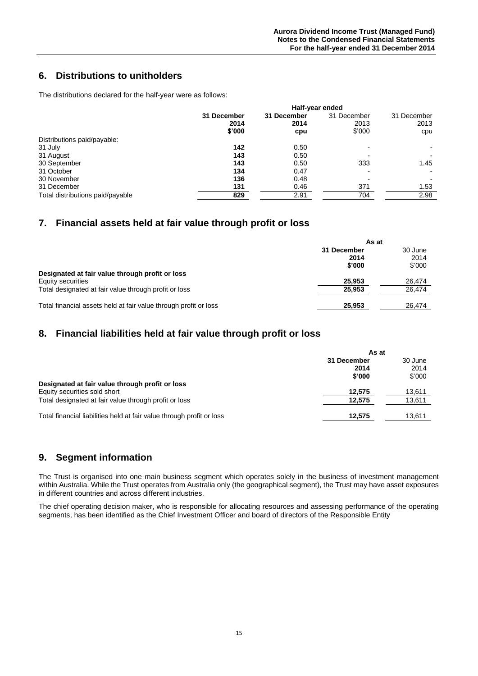## **6. Distributions to unitholders**

The distributions declared for the half-year were as follows:

|                                  | Half-year ended     |                     |                     |                     |
|----------------------------------|---------------------|---------------------|---------------------|---------------------|
|                                  | 31 December<br>2014 | 31 December<br>2014 | 31 December<br>2013 | 31 December<br>2013 |
|                                  | \$'000              | cpu                 | \$'000              | cpu                 |
| Distributions paid/payable:      |                     |                     |                     |                     |
| 31 July                          | 142                 | 0.50                |                     |                     |
| 31 August                        | 143                 | 0.50                |                     |                     |
| 30 September                     | 143                 | 0.50                | 333                 | 1.45                |
| 31 October                       | 134                 | 0.47                |                     |                     |
| 30 November                      | 136                 | 0.48                |                     |                     |
| 31 December                      | 131                 | 0.46                | 371                 | 1.53                |
| Total distributions paid/payable | 829                 | 2.91                | 704                 | 2.98                |

## **7. Financial assets held at fair value through profit or loss**

|                                                                  | As at       |         |  |
|------------------------------------------------------------------|-------------|---------|--|
|                                                                  | 31 December | 30 June |  |
|                                                                  | 2014        | 2014    |  |
|                                                                  | \$'000      | \$'000  |  |
| Designated at fair value through profit or loss                  |             |         |  |
| Equity securities                                                | 25.953      | 26,474  |  |
| Total designated at fair value through profit or loss            | 25.953      | 26,474  |  |
| Total financial assets held at fair value through profit or loss | 25,953      | 26,474  |  |

## **8. Financial liabilities held at fair value through profit or loss**

|                                                                       | As at       |         |
|-----------------------------------------------------------------------|-------------|---------|
|                                                                       | 31 December | 30 June |
|                                                                       | 2014        | 2014    |
|                                                                       | \$'000      | \$'000  |
| Designated at fair value through profit or loss                       |             |         |
| Equity securities sold short                                          | 12.575      | 13,611  |
| Total designated at fair value through profit or loss                 | 12.575      | 13,611  |
| Total financial liabilities held at fair value through profit or loss | 12.575      | 13,611  |

## **9. Segment information**

The Trust is organised into one main business segment which operates solely in the business of investment management within Australia. While the Trust operates from Australia only (the geographical segment), the Trust may have asset exposures in different countries and across different industries.

The chief operating decision maker, who is responsible for allocating resources and assessing performance of the operating segments, has been identified as the Chief Investment Officer and board of directors of the Responsible Entity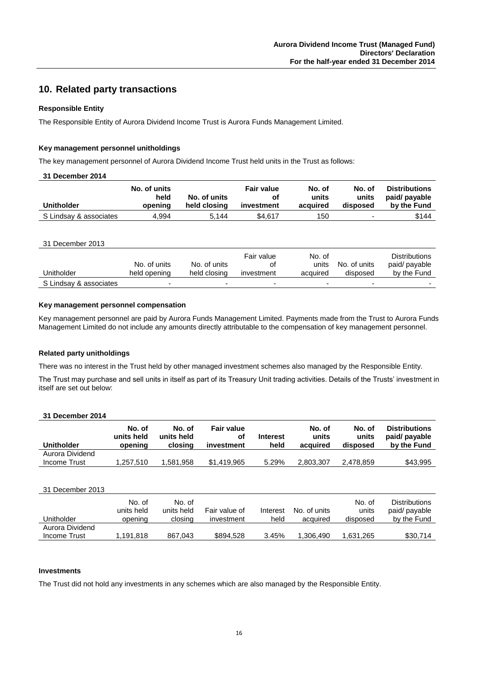## **10. Related party transactions**

#### **Responsible Entity**

The Responsible Entity of Aurora Dividend Income Trust is Aurora Funds Management Limited.

#### **Key management personnel unitholdings**

The key management personnel of Aurora Dividend Income Trust held units in the Trust as follows:

**31 December 2014**

| <b>Unitholder</b>      | No. of units<br>held<br>openina | No. of units<br>held closing | <b>Fair value</b><br>οt<br>investment | No. of<br>units<br>acquired | No. of<br>units<br>disposed | <b>Distributions</b><br>paid/ payable<br>by the Fund |
|------------------------|---------------------------------|------------------------------|---------------------------------------|-----------------------------|-----------------------------|------------------------------------------------------|
| S Lindsay & associates | 4.994                           | 5.144                        | \$4.617                               | 150                         |                             | \$144                                                |

31 December 2013

|                        | No. of units | No. of units | Fair value<br>οt         | No. of<br>units | No. of units | <b>Distributions</b><br>paid/ payable |
|------------------------|--------------|--------------|--------------------------|-----------------|--------------|---------------------------------------|
| Unitholder             | held opening | held closing | investment               | acquired        | disposed     | by the Fund                           |
| S Lindsay & associates | -            | -            | $\overline{\phantom{0}}$ | -               |              |                                       |

#### **Key management personnel compensation**

Key management personnel are paid by Aurora Funds Management Limited. Payments made from the Trust to Aurora Funds Management Limited do not include any amounts directly attributable to the compensation of key management personnel.

#### **Related party unitholdings**

There was no interest in the Trust held by other managed investment schemes also managed by the Responsible Entity.

The Trust may purchase and sell units in itself as part of its Treasury Unit trading activities. Details of the Trusts' investment in itself are set out below:

#### **31 December 2014**

| <b>Unitholder</b> | No. of<br>units held<br>opening | No. of<br>units held<br>closina | <b>Fair value</b><br>οt<br>investment | <b>Interest</b><br>held | No. of<br>units<br>acquired | No. of<br>units<br>disposed | <b>Distributions</b><br>paid/ payable<br>by the Fund |
|-------------------|---------------------------------|---------------------------------|---------------------------------------|-------------------------|-----------------------------|-----------------------------|------------------------------------------------------|
| Aurora Dividend   |                                 |                                 |                                       |                         |                             |                             |                                                      |
| Income Trust      | 1.257.510                       | .581.958                        | \$1.419.965                           | 5.29%                   | 2.803.307                   | 2.478.859                   | \$43,995                                             |

#### 31 December 2013

| Unitholder                      | No. of<br>units held<br>opening | No. of<br>units held<br>closing | Fair value of<br>investment | Interest<br>held | No. of units<br>acquired | No. of<br>units<br>disposed | <b>Distributions</b><br>paid/ payable<br>by the Fund |
|---------------------------------|---------------------------------|---------------------------------|-----------------------------|------------------|--------------------------|-----------------------------|------------------------------------------------------|
| Aurora Dividend<br>Income Trust | 1.191.818                       | 867.043                         | \$894.528                   | 3.45%            | 1.306.490                | .631.265                    | \$30,714                                             |
|                                 |                                 |                                 |                             |                  |                          |                             |                                                      |

#### **Investments**

The Trust did not hold any investments in any schemes which are also managed by the Responsible Entity.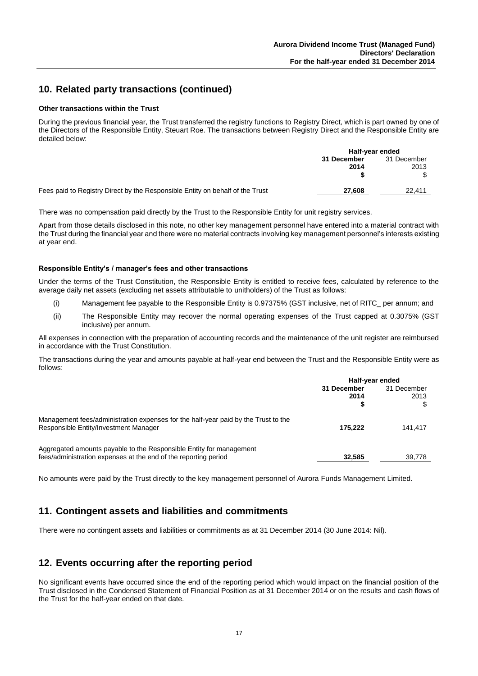## **10. Related party transactions (continued)**

#### **Other transactions within the Trust**

During the previous financial year, the Trust transferred the registry functions to Registry Direct, which is part owned by one of the Directors of the Responsible Entity, Steuart Roe. The transactions between Registry Direct and the Responsible Entity are detailed below:

|                                                                               | Half-year ended            |        |  |
|-------------------------------------------------------------------------------|----------------------------|--------|--|
|                                                                               | 31 December<br>31 December |        |  |
|                                                                               | 2014                       | 2013   |  |
|                                                                               |                            |        |  |
| Fees paid to Registry Direct by the Responsible Entity on behalf of the Trust | 27.608                     | 22.411 |  |

There was no compensation paid directly by the Trust to the Responsible Entity for unit registry services.

Apart from those details disclosed in this note, no other key management personnel have entered into a material contract with the Trust during the financial year and there were no material contracts involving key management personnel's interests existing at year end.

#### **Responsible Entity's / manager's fees and other transactions**

Under the terms of the Trust Constitution, the Responsible Entity is entitled to receive fees, calculated by reference to the average daily net assets (excluding net assets attributable to unitholders) of the Trust as follows:

- (i) Management fee payable to the Responsible Entity is 0.97375% (GST inclusive, net of RITC\_ per annum; and
- (ii) The Responsible Entity may recover the normal operating expenses of the Trust capped at 0.3075% (GST inclusive) per annum.

All expenses in connection with the preparation of accounting records and the maintenance of the unit register are reimbursed in accordance with the Trust Constitution.

The transactions during the year and amounts payable at half-year end between the Trust and the Responsible Entity were as follows:

|                                                                                                                                        | Half-year ended     |                     |  |
|----------------------------------------------------------------------------------------------------------------------------------------|---------------------|---------------------|--|
|                                                                                                                                        | 31 December<br>2014 | 31 December<br>2013 |  |
|                                                                                                                                        |                     |                     |  |
| Management fees/administration expenses for the half-year paid by the Trust to the<br>Responsible Entity/Investment Manager            | 175.222             | 141,417             |  |
| Aggregated amounts payable to the Responsible Entity for management<br>fees/administration expenses at the end of the reporting period | 32,585              | 39,778              |  |

No amounts were paid by the Trust directly to the key management personnel of Aurora Funds Management Limited.

## **11. Contingent assets and liabilities and commitments**

There were no contingent assets and liabilities or commitments as at 31 December 2014 (30 June 2014: Nil).

## **12. Events occurring after the reporting period**

No significant events have occurred since the end of the reporting period which would impact on the financial position of the Trust disclosed in the Condensed Statement of Financial Position as at 31 December 2014 or on the results and cash flows of the Trust for the half-year ended on that date.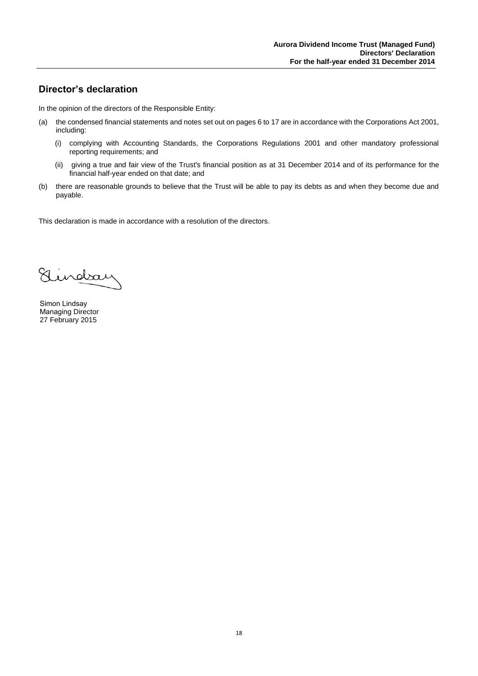## **Director's declaration**

In the opinion of the directors of the Responsible Entity:

- (a) the condensed financial statements and notes set out on pages 6 to 17 are in accordance with the Corporations Act 2001, including:
	- (i) complying with Accounting Standards, the Corporations Regulations 2001 and other mandatory professional reporting requirements; and
	- (ii) giving a true and fair view of the Trust's financial position as at 31 December 2014 and of its performance for the financial half-year ended on that date; and
- (b) there are reasonable grounds to believe that the Trust will be able to pay its debts as and when they become due and payable.

This declaration is made in accordance with a resolution of the directors.

Kindra

Simon Lindsay Managing Director 27 February 2015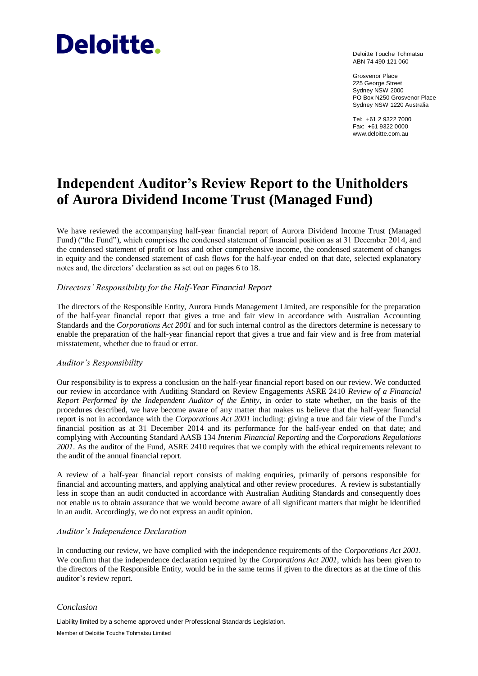# **Deloitte.**

Deloitte Touche Tohmatsu ABN 74 490 121 060

Grosvenor Place 225 George Street Sydney NSW 2000 PO Box N250 Grosvenor Place Sydney NSW 1220 Australia

Tel: +61 2 9322 7000 Fax: +61 9322 0000 www.deloitte.com.au

## **Independent Auditor's Review Report to the Unitholders of Aurora Dividend Income Trust (Managed Fund)**

We have reviewed the accompanying half-year financial report of Aurora Dividend Income Trust (Managed Fund) ("the Fund"), which comprises the condensed statement of financial position as at 31 December 2014, and the condensed statement of profit or loss and other comprehensive income, the condensed statement of changes in equity and the condensed statement of cash flows for the half-year ended on that date, selected explanatory notes and, the directors' declaration as set out on pages 6 to 18.

#### *Directors' Responsibility for the Half-Year Financial Report*

The directors of the Responsible Entity, Aurora Funds Management Limited, are responsible for the preparation of the half-year financial report that gives a true and fair view in accordance with Australian Accounting Standards and the *Corporations Act 2001* and for such internal control as the directors determine is necessary to enable the preparation of the half-year financial report that gives a true and fair view and is free from material misstatement, whether due to fraud or error.

#### *Auditor's Responsibility*

Our responsibility is to express a conclusion on the half-year financial report based on our review. We conducted our review in accordance with Auditing Standard on Review Engagements ASRE 2410 *Review of a Financial Report Performed by the Independent Auditor of the Entity*, in order to state whether, on the basis of the procedures described, we have become aware of any matter that makes us believe that the half-year financial report is not in accordance with the *Corporations Act 2001* including: giving a true and fair view of the Fund's financial position as at 31 December 2014 and its performance for the half-year ended on that date; and complying with Accounting Standard AASB 134 *Interim Financial Reporting* and the *Corporations Regulations 2001*. As the auditor of the Fund, ASRE 2410 requires that we comply with the ethical requirements relevant to the audit of the annual financial report.

A review of a half-year financial report consists of making enquiries, primarily of persons responsible for financial and accounting matters, and applying analytical and other review procedures. A review is substantially less in scope than an audit conducted in accordance with Australian Auditing Standards and consequently does not enable us to obtain assurance that we would become aware of all significant matters that might be identified in an audit. Accordingly, we do not express an audit opinion.

#### *Auditor's Independence Declaration*

In conducting our review, we have complied with the independence requirements of the *Corporations Act 2001*. We confirm that the independence declaration required by the *Corporations Act 2001*, which has been given to the directors of the Responsible Entity, would be in the same terms if given to the directors as at the time of this auditor's review report.

#### *Conclusion*

Liability limited by a scheme approved under Professional Standards Legislation.